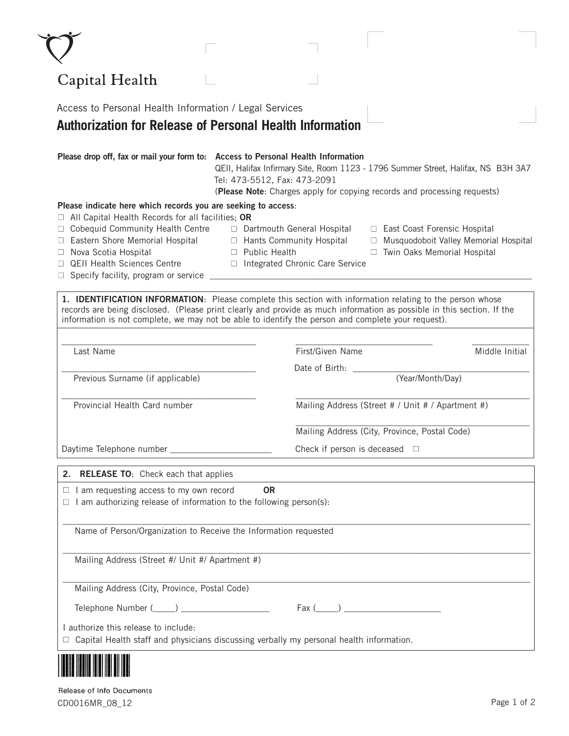| Capital Health                                                                                                                                                                                                                                                                                                                            |                                                                                                                                                                                                                                                                                   |  |  |
|-------------------------------------------------------------------------------------------------------------------------------------------------------------------------------------------------------------------------------------------------------------------------------------------------------------------------------------------|-----------------------------------------------------------------------------------------------------------------------------------------------------------------------------------------------------------------------------------------------------------------------------------|--|--|
| Access to Personal Health Information / Legal Services                                                                                                                                                                                                                                                                                    |                                                                                                                                                                                                                                                                                   |  |  |
| <b>Authorization for Release of Personal Health Information</b>                                                                                                                                                                                                                                                                           |                                                                                                                                                                                                                                                                                   |  |  |
|                                                                                                                                                                                                                                                                                                                                           | Please drop off, fax or mail your form to: Access to Personal Health Information<br>QEII, Halifax Infirmary Site, Room 1123 - 1796 Summer Street, Halifax, NS B3H 3A7<br>Tel: 473-5512, Fax: 473-2091<br>(Please Note: Charges apply for copying records and processing requests) |  |  |
| Please indicate here which records you are seeking to access:<br>$\Box$ All Capital Health Records for all facilities; OR                                                                                                                                                                                                                 |                                                                                                                                                                                                                                                                                   |  |  |
| □ Cobequid Community Health Centre<br>□ Eastern Shore Memorial Hospital<br>Nova Scotia Hospital<br>$\Box$<br><b>QEII Health Sciences Centre</b><br>$\Box$<br>$\Box$ Specify facility, program or service                                                                                                                                  | □ Dartmouth General Hospital<br>□ East Coast Forensic Hospital<br>□ Hants Community Hospital<br>□ Musquodoboit Valley Memorial Hospital<br>□ Public Health<br>□ Twin Oaks Memorial Hospital<br>□ Integrated Chronic Care Service                                                  |  |  |
| 1. IDENTIFICATION INFORMATION: Please complete this section with information relating to the person whose<br>records are being disclosed. (Please print clearly and provide as much information as possible in this section. If the<br>information is not complete, we may not be able to identify the person and complete your request). |                                                                                                                                                                                                                                                                                   |  |  |
| Last Name                                                                                                                                                                                                                                                                                                                                 | First/Given Name<br>Middle Initial                                                                                                                                                                                                                                                |  |  |
|                                                                                                                                                                                                                                                                                                                                           | Date of Birth:                                                                                                                                                                                                                                                                    |  |  |
| Previous Surname (if applicable)                                                                                                                                                                                                                                                                                                          | (Year/Month/Day)                                                                                                                                                                                                                                                                  |  |  |
| Provincial Health Card number                                                                                                                                                                                                                                                                                                             | Mailing Address (Street # / Unit # / Apartment #)                                                                                                                                                                                                                                 |  |  |
|                                                                                                                                                                                                                                                                                                                                           | Mailing Address (City, Province, Postal Code)                                                                                                                                                                                                                                     |  |  |
|                                                                                                                                                                                                                                                                                                                                           | Check if person is deceased $\Box$                                                                                                                                                                                                                                                |  |  |
| 2. RELEASE TO: Check each that applies                                                                                                                                                                                                                                                                                                    |                                                                                                                                                                                                                                                                                   |  |  |
| $\Box$ I am requesting access to my own record<br>$\Box$ I am authorizing release of information to the following person(s):                                                                                                                                                                                                              | <b>OR</b>                                                                                                                                                                                                                                                                         |  |  |
| Name of Person/Organization to Receive the Information requested                                                                                                                                                                                                                                                                          |                                                                                                                                                                                                                                                                                   |  |  |
| Mailing Address (Street #/ Unit #/ Apartment #)                                                                                                                                                                                                                                                                                           |                                                                                                                                                                                                                                                                                   |  |  |
| Mailing Address (City, Province, Postal Code)                                                                                                                                                                                                                                                                                             |                                                                                                                                                                                                                                                                                   |  |  |
|                                                                                                                                                                                                                                                                                                                                           |                                                                                                                                                                                                                                                                                   |  |  |

Release of Info Documents CD0016MR\_08\_12 Page 1 of 2